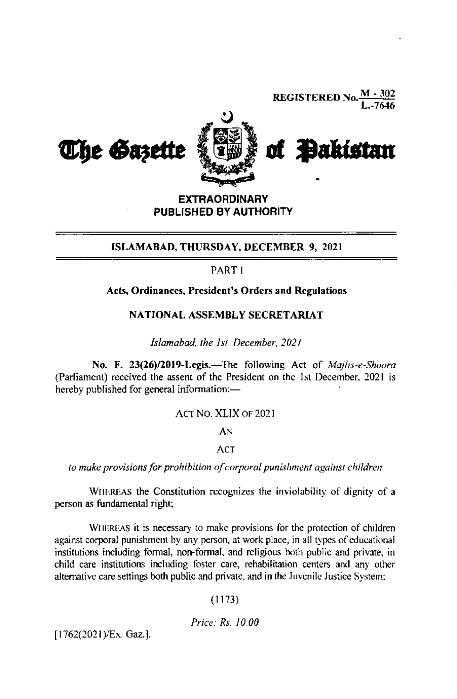**REGISTERED No.**  $\frac{M - 302}{L - 7646}$ 



**EXTRAORDINARY** PUBLISHED BY AUTHORITY

# ISLAMABAD, THURSDAY, DECEMBER 9, 2021

PART I

# Acts, Ordinances, President's Orders and Regulations

# NATIONAL ASSEMBLY SECRETARIAT

Islamabad, the 1st December, 2021

No. F. 23(26)/2019-Legis.-The following Act of Majlis-e-Shoora (Parliament) received the assent of the President on the 1st December, 2021 is hereby published for general information:-

### ACT NO. XLIX OF 2021

AN

### **ACT**

to make provisions for prohibition of corporal punishment against children

WHEREAS the Constitution recognizes the inviolability of dignity of a person as fundamental right;

WHEREAS it is necessary to make provisions for the protection of children against corporal punishment by any person, at work place, in all types of educational institutions including formal, non-formal, and religious both public and private, in child care institutions including foster care, rehabilitation centers and any other alternative care settings both public and private, and in the Juvenile Justice System;

# $(1173)$

### Price: Rs. 10.00

 $[1762(2021)/Ex.$  Gaz.).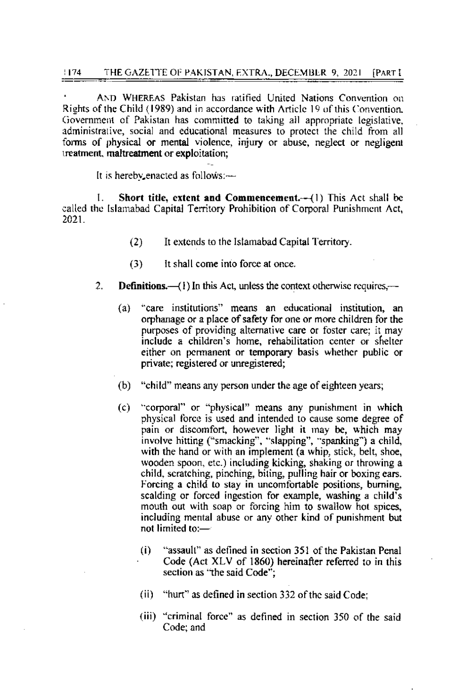AND WHEREAS Pakistan has ratified United Nations Convention on Rights of the Child (1989) and in accordance with Article 19 of this Convention. Government of Pakistan has committed to taking all appropriate legislative, administrative, social and educational measures to protect the child from all forms of physical or mental violence, injury or abuse, neglect or negligent treatment, maltreatment or exploitation;

It is hereby enacted as follows:-

Short title, extent and Commencement. $-(1)$  This Act shall be L called the Islamabad Capital Territory Prohibition of Corporal Punishment Act,  $2021.$ 

- It extends to the Islamabad Capital Territory.  $(2)$
- $(3)$ It shall come into force at once.
- $\overline{2}$ . **Definitions.**  $\left(\cdot\right)$  In this Act, unless the context otherwise requires.  $\left(-\right)$ 
	- $(a)$ "care institutions" means an educational institution, an orphanage or a place of safety for one or more children for the purposes of providing alternative care or foster care: it may include a children's home, rehabilitation center or shelter either on permanent or temporary basis whether public or private; registered or unregistered;
	- $(b)$ "child" means any person under the age of eighteen years;
	- "corporal" or "physical" means any punishment in which  $(c)$ physical force is used and intended to cause some degree of pain or discomfort, however light it may be, which may involve hitting ("smacking", "slapping", "spanking") a child, with the hand or with an implement (a whip, stick, belt, shoe, wooden spoon, etc.) including kicking, shaking or throwing a child, scratching, pinching, biting, pulling hair or boxing ears. Forcing a child to stay in uncomfortable positions, burning, scalding or forced ingestion for example, washing a child's mouth out with soap or forcing him to swallow hot spices, including mental abuse or any other kind of punishment but not limited to:-
		- "assault" as defined in section 351 of the Pakistan Penal  $(i)$ Code (Act XLV of 1860) hereinafter referred to in this section as 'the said Code";
		- (ii) "hurt" as defined in section 332 of the said Code:
		- (iii) "criminal force" as defined in section 350 of the said Code; and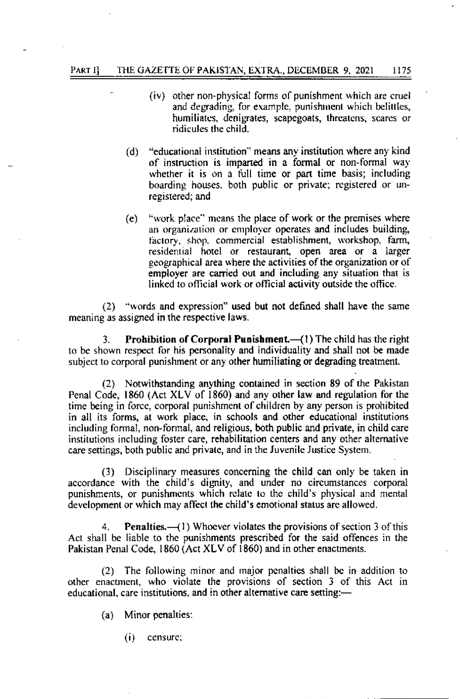#### PART II THE GAZETTE OF PAKISTAN, EXTRA., DECEMBER 9, 2021 1175

- (iv) other non-physical forms of punishment which are cruel and degrading, for example, punishment which belittles, humiliates, denigrates, scapegoats, threatens, scares or ridicules the child.
- "educational institution" means any institution where any kind  $(d)$ of instruction is imparted in a formal or non-formal way whether it is on a full time or part time basis; including boarding houses, both public or private; registered or unregistered; and
- "work place" means the place of work or the premises where  $(e)$ an organization or employer operates and includes building, factory, shop, commercial establishment, workshop, farm, residential hotel or restaurant, open area or a larger geographical area where the activities of the organization or of employer are carried out and including any situation that is linked to official work or official activity outside the office.

(2) "words and expression" used but not defined shall have the same meaning as assigned in the respective laws.

**Prohibition of Corporal Punishment.**  $(1)$  The child has the right 3. to be shown respect for his personality and individuality and shall not be made subject to corporal punishment or any other humiliating or degrading treatment.

(2) Notwithstanding anything contained in section 89 of the Pakistan Penal Code, 1860 (Act XLV of 1860) and any other law and regulation for the time being in force, corporal punishment of children by any person is prohibited in all its forms, at work place, in schools and other educational institutions including formal, non-formal, and religious, both public and private, in child care institutions including foster care, rehabilitation centers and any other alternative care settings, both public and private, and in the Juvenile Justice System.

Disciplinary measures concerning the child can only be taken in  $(3)$ accordance with the child's dignity, and under no circumstances corporal punishments, or punishments which relate to the child's physical and mental development or which may affect the child's emotional status are allowed.

 $\blacktriangle$ **Penalties.**  $\left(\frac{1}{1}\right)$  Whoever violates the provisions of section 3 of this Act shall be liable to the punishments prescribed for the said offences in the Pakistan Penal Code, 1860 (Act XLV of 1860) and in other enactments.

(2) The following minor and major penalties shall be in addition to other enactment, who violate the provisions of section 3 of this Act in educational, care institutions, and in other alternative care setting:-

(a) Minor penalties:

 $(i)$ censure;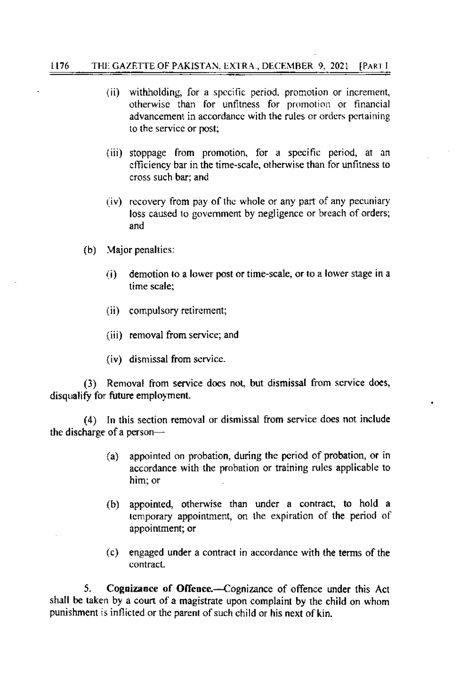#### 1176 THE GAZETTE OF PAKISTAN, EXTRA., DECEMBER 9, 2021 **FPART I**

- (ii) withholding, for a specific period, promotion or increment, otherwise than for unfitness for promotion or financial advancement in accordance with the rules or orders pertaining to the service or post;
- (iii) stoppage from promotion, for a specific period, at an efficiency bar in the time-scale, otherwise than for unfitness to cross such bar: and
- (iv) recovery from pay of the whole or any part of any pecuniary loss caused to government by negligence or breach of orders; and
- (b) Major penalties:
	- demotion to a lower post or time-scale, or to a lower stage in a  $(i)$ time scale:
	- (ii) compulsory retirement;
	- (iii) removal from service; and
	- (iv) dismissal from service.

(3) Removal from service does not, but dismissal from service does, disqualify for future employment.

(4) In this section removal or dismissal from service does not include the discharge of a person-

- appointed on probation, during the period of probation, or in  $(a)$ accordance with the probation or training rules applicable to him; or
- appointed, otherwise than under a contract, to hold a  $(b)$ temporary appointment, on the expiration of the period of appointment; or
- $(c)$ engaged under a contract in accordance with the terms of the contract.

5. Cognizance of Offence.—Cognizance of offence under this Act shall be taken by a court of a magistrate upon complaint by the child on whom punishment is inflicted or the parent of such child or his next of kin.